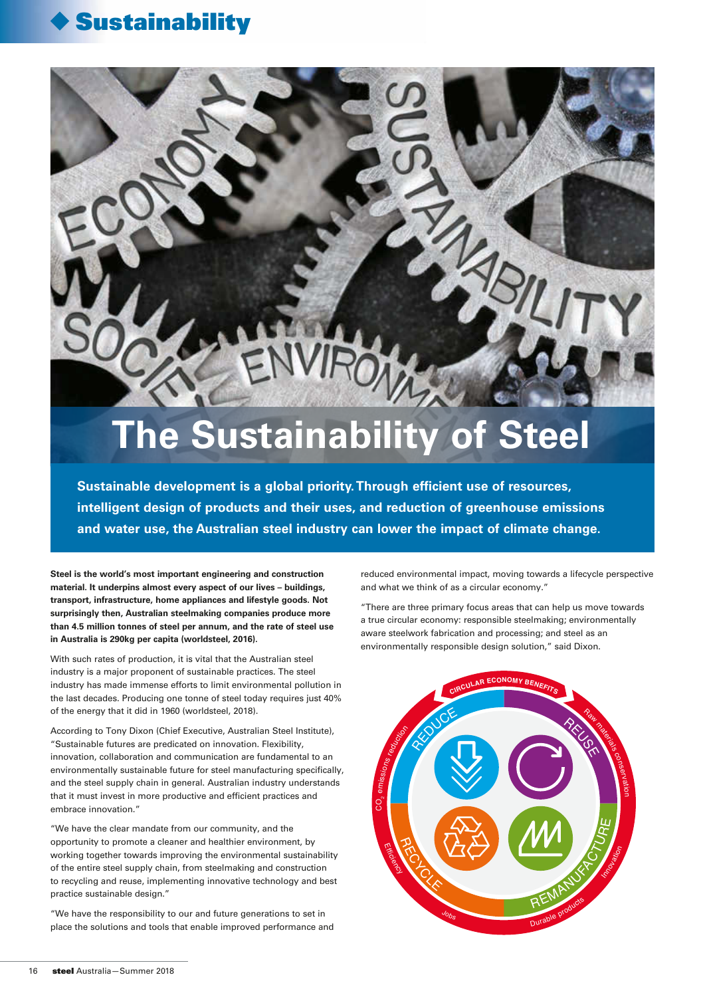### **Sustainability**



# **The Sustainability of Steel**

**Sustainable development is a global priority. Through efficient use of resources, intelligent design of products and their uses, and reduction of greenhouse emissions and water use, the Australian steel industry can lower the impact of climate change.**

**Steel is the world's most important engineering and construction material. It underpins almost every aspect of our lives – buildings, transport, infrastructure, home appliances and lifestyle goods. Not surprisingly then, Australian steelmaking companies produce more than 4.5 million tonnes of steel per annum, and the rate of steel use in Australia is 290kg per capita (worldsteel, 2016).** 

With such rates of production, it is vital that the Australian steel industry is a major proponent of sustainable practices. The steel industry has made immense efforts to limit environmental pollution in the last decades. Producing one tonne of steel today requires just 40% of the energy that it did in 1960 (worldsteel, 2018).

According to Tony Dixon (Chief Executive, Australian Steel Institute), "Sustainable futures are predicated on innovation. Flexibility, innovation, collaboration and communication are fundamental to an environmentally sustainable future for steel manufacturing specifically, and the steel supply chain in general. Australian industry understands that it must invest in more productive and efficient practices and embrace innovation."

"We have the clear mandate from our community, and the opportunity to promote a cleaner and healthier environment, by working together towards improving the environmental sustainability of the entire steel supply chain, from steelmaking and construction to recycling and reuse, implementing innovative technology and best practice sustainable design."

"We have the responsibility to our and future generations to set in place the solutions and tools that enable improved performance and reduced environmental impact, moving towards a lifecycle perspective and what we think of as a circular economy."

"There are three primary focus areas that can help us move towards a true circular economy: responsible steelmaking; environmentally aware steelwork fabrication and processing; and steel as an environmentally responsible design solution," said Dixon.

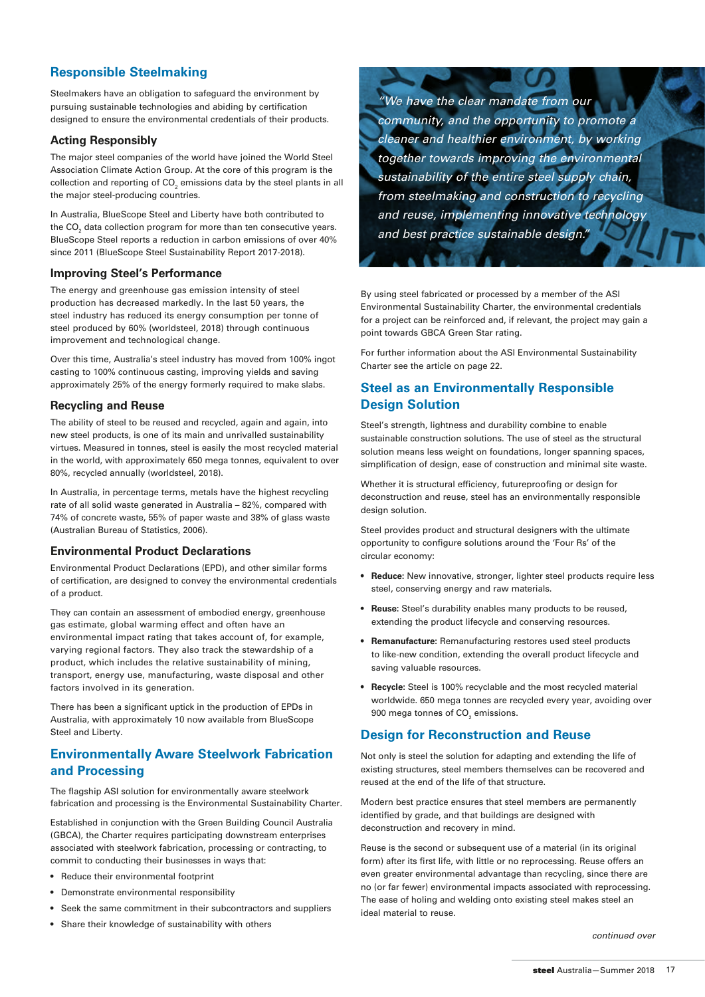#### **Responsible Steelmaking**

Steelmakers have an obligation to safeguard the environment by pursuing sustainable technologies and abiding by certification designed to ensure the environmental credentials of their products.

#### **Acting Responsibly**

The major steel companies of the world have joined the World Steel Association Climate Action Group. At the core of this program is the collection and reporting of CO $_{\tiny 2}$  emissions data by the steel plants in all the major steel-producing countries.

In Australia, BlueScope Steel and Liberty have both contributed to the CO $_{\tiny 2}$  data collection program for more than ten consecutive years. BlueScope Steel reports a reduction in carbon emissions of over 40% since 2011 (BlueScope Steel Sustainability Report 2017-2018).

#### **Improving Steel's Performance**

The energy and greenhouse gas emission intensity of steel production has decreased markedly. In the last 50 years, the steel industry has reduced its energy consumption per tonne of steel produced by 60% (worldsteel, 2018) through continuous improvement and technological change.

Over this time, Australia's steel industry has moved from 100% ingot casting to 100% continuous casting, improving yields and saving approximately 25% of the energy formerly required to make slabs.

#### **Recycling and Reuse**

The ability of steel to be reused and recycled, again and again, into new steel products, is one of its main and unrivalled sustainability virtues. Measured in tonnes, steel is easily the most recycled material in the world, with approximately 650 mega tonnes, equivalent to over 80%, recycled annually (worldsteel, 2018).

In Australia, in percentage terms, metals have the highest recycling rate of all solid waste generated in Australia – 82%, compared with 74% of concrete waste, 55% of paper waste and 38% of glass waste (Australian Bureau of Statistics, 2006).

#### **Environmental Product Declarations**

Environmental Product Declarations (EPD), and other similar forms of certification, are designed to convey the environmental credentials of a product.

They can contain an assessment of embodied energy, greenhouse gas estimate, global warming effect and often have an environmental impact rating that takes account of, for example, varying regional factors. They also track the stewardship of a product, which includes the relative sustainability of mining, transport, energy use, manufacturing, waste disposal and other factors involved in its generation.

There has been a significant uptick in the production of EPDs in Australia, with approximately 10 now available from BlueScope Steel and Liberty.

#### **Environmentally Aware Steelwork Fabrication and Processing**

The flagship ASI solution for environmentally aware steelwork fabrication and processing is the Environmental Sustainability Charter.

Established in conjunction with the Green Building Council Australia (GBCA), the Charter requires participating downstream enterprises associated with steelwork fabrication, processing or contracting, to commit to conducting their businesses in ways that:

- Reduce their environmental footprint
- Demonstrate environmental responsibility
- Seek the same commitment in their subcontractors and suppliers
- Share their knowledge of sustainability with others

"We have the clear mandate from our community, and the opportunity to promote a cleaner and healthier environment, by working together towards improving the environmental sustainability of the entire steel supply chain, from steelmaking and construction to recycling and reuse, implementing innovative technology and best practice sustainable design."

By using steel fabricated or processed by a member of the ASI Environmental Sustainability Charter, the environmental credentials for a project can be reinforced and, if relevant, the project may gain a point towards GBCA Green Star rating.

For further information about the ASI Environmental Sustainability Charter see the article on page 22.

#### **Steel as an Environmentally Responsible Design Solution**

Steel's strength, lightness and durability combine to enable sustainable construction solutions. The use of steel as the structural solution means less weight on foundations, longer spanning spaces, simplification of design, ease of construction and minimal site waste.

Whether it is structural efficiency, futureproofing or design for deconstruction and reuse, steel has an environmentally responsible design solution.

Steel provides product and structural designers with the ultimate opportunity to configure solutions around the 'Four Rs' of the circular economy:

- **Reduce:** New innovative, stronger, lighter steel products require less steel, conserving energy and raw materials.
- **Reuse:** Steel's durability enables many products to be reused, extending the product lifecycle and conserving resources.
- **Remanufacture:** Remanufacturing restores used steel products to like-new condition, extending the overall product lifecycle and saving valuable resources.
- **Recycle:** Steel is 100% recyclable and the most recycled material worldwide. 650 mega tonnes are recycled every year, avoiding over 900 mega tonnes of  $CO<sub>2</sub>$  emissions.

#### **Design for Reconstruction and Reuse**

Not only is steel the solution for adapting and extending the life of existing structures, steel members themselves can be recovered and reused at the end of the life of that structure.

Modern best practice ensures that steel members are permanently identified by grade, and that buildings are designed with deconstruction and recovery in mind.

Reuse is the second or subsequent use of a material (in its original form) after its first life, with little or no reprocessing. Reuse offers an even greater environmental advantage than recycling, since there are no (or far fewer) environmental impacts associated with reprocessing. The ease of holing and welding onto existing steel makes steel an ideal material to reuse.

continued over